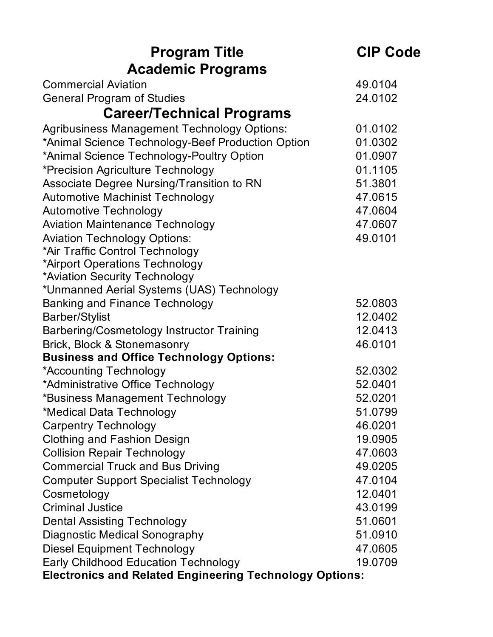| <b>Program Title</b>                                           | <b>CIP Code</b> |
|----------------------------------------------------------------|-----------------|
| <b>Academic Programs</b>                                       |                 |
| <b>Commercial Aviation</b>                                     | 49.0104         |
| <b>General Program of Studies</b>                              | 24.0102         |
| <b>Career/Technical Programs</b>                               |                 |
| <b>Agribusiness Management Technology Options:</b>             | 01.0102         |
| *Animal Science Technology-Beef Production Option              | 01.0302         |
| *Animal Science Technology-Poultry Option                      | 01.0907         |
| *Precision Agriculture Technology                              | 01.1105         |
| Associate Degree Nursing/Transition to RN                      | 51.3801         |
| <b>Automotive Machinist Technology</b>                         | 47.0615         |
| <b>Automotive Technology</b>                                   | 47.0604         |
| <b>Aviation Maintenance Technology</b>                         | 47.0607         |
| <b>Aviation Technology Options:</b>                            | 49.0101         |
| *Air Traffic Control Technology                                |                 |
| *Airport Operations Technology                                 |                 |
| *Aviation Security Technology                                  |                 |
| *Unmanned Aerial Systems (UAS) Technology                      |                 |
| <b>Banking and Finance Technology</b>                          | 52.0803         |
| <b>Barber/Stylist</b>                                          | 12.0402         |
| Barbering/Cosmetology Instructor Training                      | 12.0413         |
| Brick, Block & Stonemasonry                                    | 46.0101         |
| <b>Business and Office Technology Options:</b>                 |                 |
| *Accounting Technology                                         | 52.0302         |
| *Administrative Office Technology                              | 52.0401         |
| *Business Management Technology                                | 52.0201         |
| *Medical Data Technology                                       | 51.0799         |
| <b>Carpentry Technology</b>                                    | 46.0201         |
| <b>Clothing and Fashion Design</b>                             | 19.0905         |
| <b>Collision Repair Technology</b>                             | 47.0603         |
| <b>Commercial Truck and Bus Driving</b>                        | 49.0205         |
| <b>Computer Support Specialist Technology</b>                  | 47.0104         |
| Cosmetology                                                    | 12.0401         |
| <b>Criminal Justice</b>                                        | 43.0199         |
| <b>Dental Assisting Technology</b>                             | 51.0601         |
| <b>Diagnostic Medical Sonography</b>                           | 51.0910         |
| <b>Diesel Equipment Technology</b>                             | 47.0605         |
| <b>Early Childhood Education Technology</b>                    | 19.0709         |
| <b>Electronics and Related Engineering Technology Options:</b> |                 |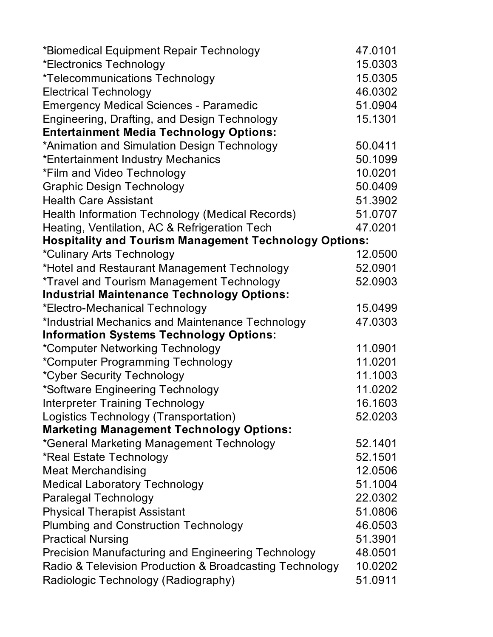| *Biomedical Equipment Repair Technology                       | 47.0101 |
|---------------------------------------------------------------|---------|
| *Electronics Technology                                       | 15.0303 |
| <i>*Telecommunications Technology</i>                         | 15.0305 |
| <b>Electrical Technology</b>                                  | 46.0302 |
| <b>Emergency Medical Sciences - Paramedic</b>                 | 51.0904 |
| Engineering, Drafting, and Design Technology                  | 15.1301 |
| <b>Entertainment Media Technology Options:</b>                |         |
| *Animation and Simulation Design Technology                   | 50.0411 |
| *Entertainment Industry Mechanics                             | 50.1099 |
| *Film and Video Technology                                    | 10.0201 |
| <b>Graphic Design Technology</b>                              | 50.0409 |
| <b>Health Care Assistant</b>                                  | 51.3902 |
| Health Information Technology (Medical Records)               | 51.0707 |
| Heating, Ventilation, AC & Refrigeration Tech                 | 47.0201 |
| <b>Hospitality and Tourism Management Technology Options:</b> |         |
| *Culinary Arts Technology                                     | 12.0500 |
| *Hotel and Restaurant Management Technology                   | 52.0901 |
| *Travel and Tourism Management Technology                     | 52.0903 |
| <b>Industrial Maintenance Technology Options:</b>             |         |
| *Electro-Mechanical Technology                                | 15.0499 |
| *Industrial Mechanics and Maintenance Technology              | 47.0303 |
| <b>Information Systems Technology Options:</b>                |         |
| *Computer Networking Technology                               | 11.0901 |
| *Computer Programming Technology                              | 11.0201 |
| <i>*Cyber Security Technology</i>                             | 11.1003 |
| *Software Engineering Technology                              | 11.0202 |
| <b>Interpreter Training Technology</b>                        | 16.1603 |
| Logistics Technology (Transportation)                         | 52.0203 |
| <b>Marketing Management Technology Options:</b>               |         |
| *General Marketing Management Technology                      | 52.1401 |
| *Real Estate Technology                                       | 52.1501 |
| <b>Meat Merchandising</b>                                     | 12.0506 |
| <b>Medical Laboratory Technology</b>                          | 51.1004 |
| <b>Paralegal Technology</b>                                   | 22.0302 |
| <b>Physical Therapist Assistant</b>                           | 51.0806 |
| <b>Plumbing and Construction Technology</b>                   | 46.0503 |
| <b>Practical Nursing</b>                                      | 51.3901 |
| <b>Precision Manufacturing and Engineering Technology</b>     | 48.0501 |
| Radio & Television Production & Broadcasting Technology       | 10.0202 |
| Radiologic Technology (Radiography)                           | 51.0911 |